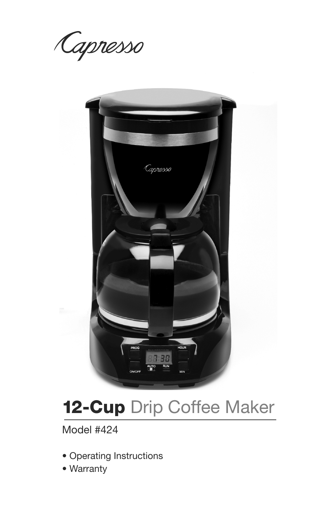Capresso



# **12-Cup** Drip Coffee Maker

Model #424

- Operating Instructions
- Warranty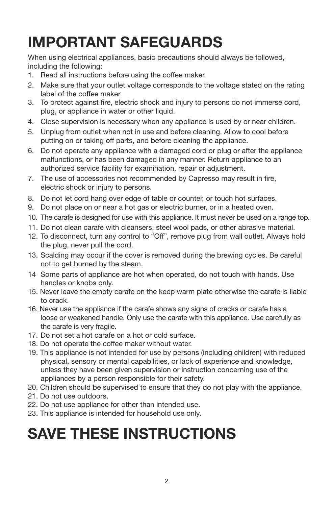# **IMPORTANT SAFEGUARDS**

When using electrical appliances, basic precautions should always be followed, including the following:

- 1. Read all instructions before using the coffee maker.
- 2. Make sure that your outlet voltage corresponds to the voltage stated on the rating label of the coffee maker
- 3. To protect against fire, electric shock and injury to persons do not immerse cord, plug, or appliance in water or other liquid.
- 4. Close supervision is necessary when any appliance is used by or near children.
- 5. Unplug from outlet when not in use and before cleaning. Allow to cool before putting on or taking off parts, and before cleaning the appliance.
- 6. Do not operate any appliance with a damaged cord or plug or after the appliance malfunctions, or has been damaged in any manner. Return appliance to an authorized service facility for examination, repair or adjustment.
- 7. The use of accessories not recommended by Capresso may result in fire, electric shock or injury to persons.
- 8. Do not let cord hang over edge of table or counter, or touch hot surfaces.
- 9. Do not place on or near a hot gas or electric burner, or in a heated oven.
- 10. The carafe is designed for use with this appliance. It must never be used on a range top.
- 11. Do not clean carafe with cleansers, steel wool pads, or other abrasive material.
- 12. To disconnect, turn any control to "Off", remove plug from wall outlet. Always hold the plug, never pull the cord.
- 13. Scalding may occur if the cover is removed during the brewing cycles. Be careful not to get burned by the steam.
- 14 Some parts of appliance are hot when operated, do not touch with hands. Use handles or knobs only.
- 15. Never leave the empty carafe on the keep warm plate otherwise the carafe is liable to crack.
- 16. Never use the appliance if the carafe shows any signs of cracks or carafe has a loose or weakened handle. Only use the carafe with this appliance. Use carefully as the carafe is very fragile.
- 17. Do not set a hot carafe on a hot or cold surface.
- 18. Do not operate the coffee maker without water.
- 19. This appliance is not intended for use by persons (including children) with reduced physical, sensory or mental capabilities, or lack of experience and knowledge, unless they have been given supervision or instruction concerning use of the appliances by a person responsible for their safety.
- 20. Children should be supervised to ensure that they do not play with the appliance.
- 21. Do not use outdoors.
- 22. Do not use appliance for other than intended use.
- 23. This appliance is intended for household use only.

# **SAVE THESE INSTRUCTIONS**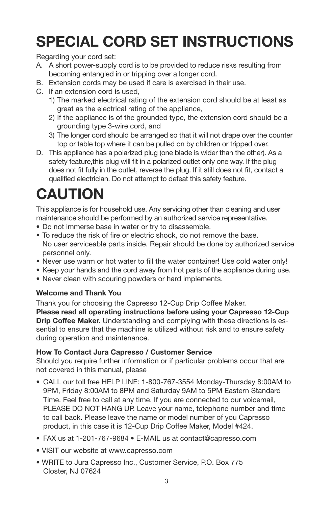# **SPECIAL CORD SET INSTRUCTIONS**

Regarding your cord set:

- A. A short power-supply cord is to be provided to reduce risks resulting from becoming entangled in or tripping over a longer cord.
- B. Extension cords may be used if care is exercised in their use.
- C. If an extension cord is used,
	- 1) The marked electrical rating of the extension cord should be at least as great as the electrical rating of the appliance,
	- 2) If the appliance is of the grounded type, the extension cord should be a grounding type 3-wire cord, and
	- 3) The longer cord should be arranged so that it will not drape over the counter top or table top where it can be pulled on by children or tripped over.
- D. This appliance has a polarized plug (one blade is wider than the other). As a safety feature,this plug will fit in a polarized outlet only one way. If the plug does not fit fully in the outlet, reverse the plug. If it still does not fit, contact a qualified electrician. Do not attempt to defeat this safety feature.

# **CAUTION**

This appliance is for household use. Any servicing other than cleaning and user maintenance should be performed by an authorized service representative.

- Do not immerse base in water or try to disassemble.
- To reduce the risk of fire or electric shock, do not remove the base. No user serviceable parts inside. Repair should be done by authorized service personnel only.
- Never use warm or hot water to fill the water container! Use cold water only!
- Keep your hands and the cord away from hot parts of the appliance during use.
- Never clean with scouring powders or hard implements.

## **Welcome and Thank You**

Thank you for choosing the Capresso 12-Cup Drip Coffee Maker.

**Please read all operating instructions before using your Capresso 12-Cup Drip Coffee Maker.** Understanding and complying with these directions is essential to ensure that the machine is utilized without risk and to ensure safety during operation and maintenance.

## **How To Contact Jura Capresso / Customer Service**

Should you require further information or if particular problems occur that are not covered in this manual, please

- CALL our toll free HELP LINE: 1-800-767-3554 Monday-Thursday 8:00AM to 9PM, Friday 8:00AM to 8PM and Saturday 9AM to 5PM Eastern Standard Time. Feel free to call at any time. If you are connected to our voicemail, PLEASE DO NOT HANG UP. Leave your name, telephone number and time to call back. Please leave the name or model number of you Capresso product, in this case it is 12-Cup Drip Coffee Maker, Model #424.
- FAX us at 1-201-767-9684 E-MAIL us at contact@capresso.com
- VISIT our website at www.capresso.com
- WRITE to Jura Capresso Inc., Customer Service, P.O. Box 775 Closter, NJ 07624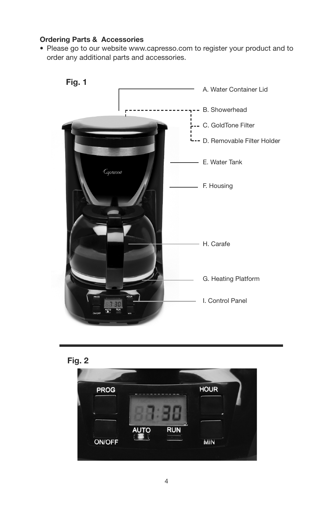#### **Ordering Parts & Accessories**

• Please go to our website www.capresso.com to register your product and to order any additional parts and accessories.





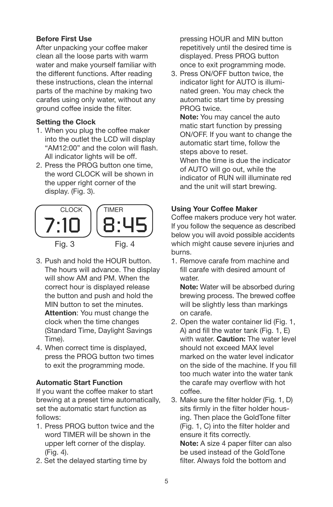## **Before First Use**

After unpacking your coffee maker clean all the loose parts with warm water and make yourself familiar with the different functions. After reading these instructions, clean the internal parts of the machine by making two carafes using only water, without any ground coffee inside the filter.

### **Setting the Clock**

- 1. When you plug the coffee maker into the outlet the LCD will display "AM12:00" and the colon will flash. All indicator lights will be off.
- 2. Press the PROG button one time, the word CLOCK will be shown in the upper right corner of the display. (Fig. 3).



- 3. Push and hold the HOUR button. The hours will advance. The display will show AM and PM. When the correct hour is displayed release the button and push and hold the MIN button to set the minutes. **Attention**: You must change the clock when the time changes (Standard Time, Daylight Savings Time).
- 4. When correct time is displayed, press the PROG button two times to exit the programming mode.

#### **Automatic Start Function**

If you want the coffee maker to start brewing at a preset time automatically, set the automatic start function as follows:

- 1. Press PROG button twice and the word TIMER will be shown in the upper left corner of the display. (Fig. 4).
- 2. Set the delayed starting time by

pressing HOUR and MIN button repetitively until the desired time is displayed. Press PROG button once to exit programming mode.

3. Press ON/OFF button twice, the indicator light for AUTO is illuminated green. You may check the automatic start time by pressing PROG twice.

**Note:** You may cancel the auto matic start function by pressing ON/OFF. If you want to change the automatic start time, follow the steps above to reset. When the time is due the indicator

of AUTO will go out, while the indicator of RUN will illuminate red and the unit will start brewing.

## **Using Your Coffee Maker**

Coffee makers produce very hot water. If you follow the sequence as described below you will avoid possible accidents which might cause severe injuries and burns.

1. Remove carafe from machine and fill carafe with desired amount of water

**Note:** Water will be absorbed during brewing process. The brewed coffee will be slightly less than markings on carafe.

2. Open the water container lid (Fig. 1, A) and fill the water tank (Fig. 1, E) with water. **Caution:** The water level should not exceed MAX level marked on the water level indicator on the side of the machine. If you fill too much water into the water tank the carafe may overflow with hot coffee.

3. Make sure the filter holder (Fig. 1, D) sits firmly in the filter holder housing. Then place the GoldTone filter (Fig. 1, C) into the filter holder and ensure it fits correctly. **Note:** A size 4 paper filter can also be used instead of the GoldTone filter. Always fold the bottom and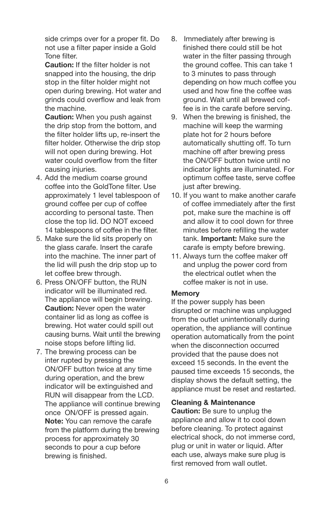side crimps over for a proper fit. Do not use a filter paper inside a Gold Tone filter.

**Caution:** If the filter holder is not snapped into the housing, the drip stop in the filter holder might not open during brewing. Hot water and grinds could overflow and leak from the machine.

**Caution:** When you push against the drip stop from the bottom, and the filter holder lifts up, re-insert the filter holder. Otherwise the drip stop will not open during brewing. Hot water could overflow from the filter causing injuries.

- 4. Add the medium coarse ground coffee into the GoldTone filter. Use approximately 1 level tablespoon of ground coffee per cup of coffee according to personal taste. Then close the top lid. DO NOT exceed 14 tablespoons of coffee in the filter.
- 5. Make sure the lid sits properly on the glass carafe. Insert the carafe into the machine. The inner part of the lid will push the drip stop up to let coffee brew through.
- 6. Press ON/OFF button, the RUN indicator will be illuminated red. The appliance will begin brewing. **Caution:** Never open the water container lid as long as coffee is brewing. Hot water could spill out causing burns. Wait until the brewing noise stops before lifting lid.
- 7. The brewing process can be inter rupted by pressing the ON/OFF button twice at any time during operation, and the brew indicator will be extinguished and RUN will disappear from the LCD. The appliance will continue brewing once ON/OFF is pressed again. **Note:** You can remove the carafe from the platform during the brewing process for approximately 30 seconds to pour a cup before brewing is finished.
- 8. Immediately after brewing is finished there could still be hot water in the filter passing through the ground coffee. This can take 1 to 3 minutes to pass through depending on how much coffee you used and how fine the coffee was ground. Wait until all brewed coffee is in the carafe before serving.
- 9. When the brewing is finished, the machine will keep the warming plate hot for 2 hours before automatically shutting off. To turn machine off after brewing press the ON/OFF button twice until no indicator lights are illuminated. For optimum coffee taste, serve coffee just after brewing.
- 10. If you want to make another carafe of coffee immediately after the first pot, make sure the machine is off and allow it to cool down for three minutes before refilling the water tank. **Important:** Make sure the carafe is empty before brewing.
- 11. Always turn the coffee maker off and unplug the power cord from the electrical outlet when the coffee maker is not in use.

#### **Memory**

If the power supply has been disrupted or machine was unplugged from the outlet unintentionally during operation, the appliance will continue operation automatically from the point when the disconnection occurred provided that the pause does not exceed 15 seconds. In the event the paused time exceeds 15 seconds, the display shows the default setting, the appliance must be reset and restarted.

#### **Cleaning & Maintenance**

**Caution:** Be sure to unplug the appliance and allow it to cool down before cleaning. To protect against electrical shock, do not immerse cord, plug or unit in water or liquid. After each use, always make sure plug is first removed from wall outlet.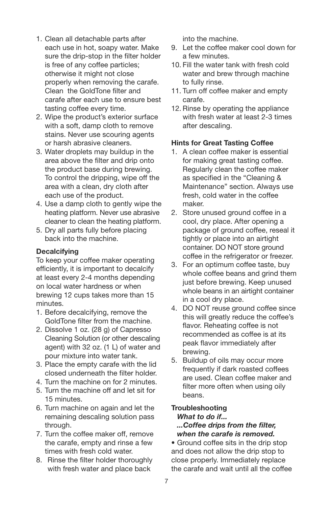- 1. Clean all detachable parts after each use in hot, soapy water. Make sure the drip-stop in the filter holder is free of any coffee particles; otherwise it might not close properly when removing the carafe. Clean the GoldTone filter and carafe after each use to ensure best tasting coffee every time.
- 2. Wipe the product's exterior surface with a soft, damp cloth to remove stains. Never use scouring agents or harsh abrasive cleaners.
- 3. Water droplets may buildup in the area above the filter and drip onto the product base during brewing. To control the dripping, wipe off the area with a clean, dry cloth after each use of the product.
- 4. Use a damp cloth to gently wipe the heating platform. Never use abrasive cleaner to clean the heating platform.
- 5. Dry all parts fully before placing back into the machine.

## **Decalcifying**

To keep your coffee maker operating efficiently, it is important to decalcify at least every 2-4 months depending on local water hardness or when brewing 12 cups takes more than 15 minutes.

- 1. Before decalcifying, remove the GoldTone filter from the machine.
- 2. Dissolve 1 oz. (28 g) of Capresso Cleaning Solution (or other descaling agent) with 32 oz. (1 L) of water and pour mixture into water tank.
- 3. Place the empty carafe with the lid closed underneath the filter holder.
- 4. Turn the machine on for 2 minutes.
- 5. Turn the machine off and let sit for 15 minutes.
- 6. Turn machine on again and let the remaining descaling solution pass through.
- 7. Turn the coffee maker off, remove the carafe, empty and rinse a few times with fresh cold water.
- 8. Rinse the filter holder thoroughly with fresh water and place back

into the machine.

- 9. Let the coffee maker cool down for a few minutes.
- 10. Fill the water tank with fresh cold water and brew through machine to fully rinse.
- 11. Turn off coffee maker and empty carafe.
- 12. Rinse by operating the appliance with fresh water at least 2-3 times after descaling.

## **Hints for Great Tasting Coffee**

- 1. A clean coffee maker is essential for making great tasting coffee. Regularly clean the coffee maker as specified in the "Cleaning & Maintenance" section. Always use fresh, cold water in the coffee maker.
- 2. Store unused ground coffee in a cool, dry place. After opening a package of ground coffee, reseal it tightly or place into an airtight container. DO NOT store ground coffee in the refrigerator or freezer.
- 3. For an optimum coffee taste, buy whole coffee beans and grind them just before brewing. Keep unused whole beans in an airtight container in a cool dry place.
- 4. DO NOT reuse ground coffee since this will greatly reduce the coffee's flavor. Reheating coffee is not recommended as coffee is at its peak flavor immediately after brewing.
- 5. Buildup of oils may occur more frequently if dark roasted coffees are used. Clean coffee maker and filter more often when using oily beans.

#### **Troubleshooting** *What to do if... ...Coffee drips from the filter, when the carafe is removed.*

• Ground coffee sits in the drip stop and does not allow the drip stop to close properly. Immediately replace the carafe and wait until all the coffee